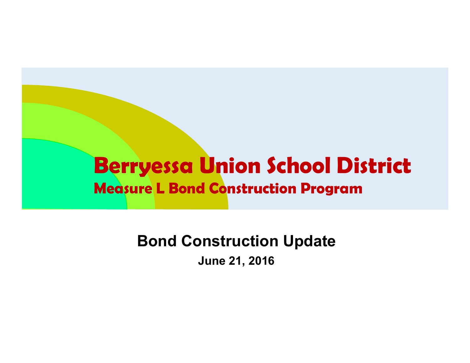### **Berryessa Union School District Measure L Bond Construction Program**

**Bond Construction Update June 21, 2016**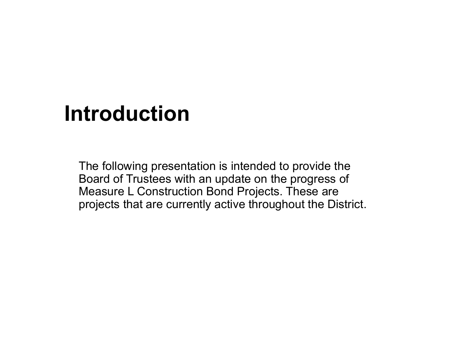# **Introduction**

The following presentation is intended to provide the Board of Trustees with an update on the progress of Measure L Construction Bond Projects. These are projects that are currently active throughout the District.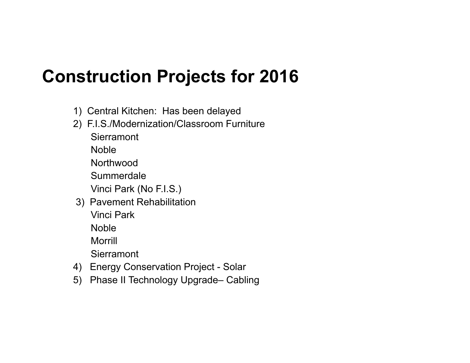- 1) Central Kitchen: Has been delayed
- 2) F.I.S./Modernization/Classroom Furniture

**Sierramont** 

Noble

**Northwood** 

Summerdale

Vinci Park (No F.I.S.)

3) Pavement Rehabilitation

Vinci Park

**Noble** 

Morrill

**Sierramont** 

- 4) Energy Conservation Project Solar
- 5) Phase II Technology Upgrade– Cabling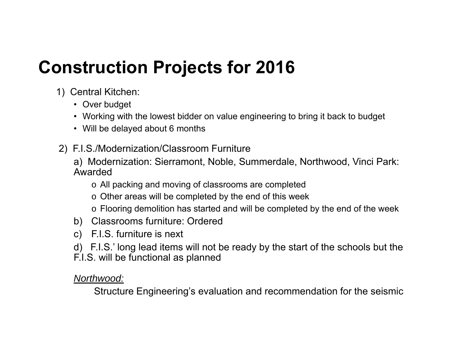- 1) Central Kitchen:
	- Over budget
	- Working with the lowest bidder on value engineering to bring it back to budget
	- Will be delayed about 6 months
- 2) F.I.S./Modernization/Classroom Furniture
	- a) Modernization: Sierramont, Noble, Summerdale, Northwood, Vinci Park: Awarded
		- o All packing and moving of classrooms are completed
		- $\circ$  Other areas will be completed by the end of this week
		- $\circ$  Flooring demolition has started and will be completed by the end of the week
	- b) Classrooms furniture: Ordered
	- c) F.I.S. furniture is next
	- d) F.I.S.' long lead items will not be ready by the start of the schools but the F.I.S. will be functional as planned

*Northwood:*

Structure Engineering's evaluation and recommendation for the seismic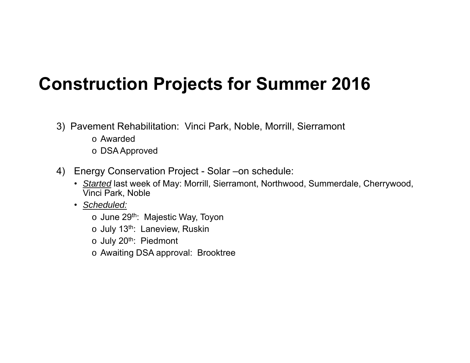### **Construction Projects for Summer 2016**

- 3) Pavement Rehabilitation: Vinci Park, Noble, Morrill, Sierramont
	- o Awarded
	- o DSA Approved
- 4) Energy Conservation Project Solar –on schedule:
	- *Started* last week of May: Morrill, Sierramont, Northwood, Summerdale, Cherrywood, Vinci Park, Noble
	- *Scheduled:*
		- o June 29<sup>th</sup>: Majestic Way, Toyon
		- o July 13<sup>th</sup>: Laneview, Ruskin
		- o July 20<sup>th</sup>: Piedmont
		- o Awaiting DSA approval: Brooktree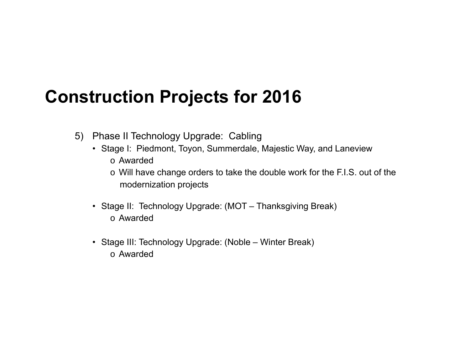- 5) Phase II Technology Upgrade: Cabling
	- Stage I: Piedmont, Toyon, Summerdale, Majestic Way, and Laneview o Awarded
		- o Will have change orders to take the double work for the F.I.S. out of the modernization projects
	- Stage II: Technology Upgrade: (MOT Thanksgiving Break) o Awarded
	- Stage III: Technology Upgrade: (Noble Winter Break) o Awarded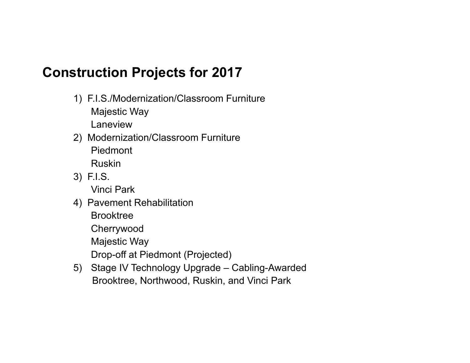1) F.I.S./Modernization/Classroom Furniture Majestic Way

Laneview

2) Modernization/Classroom Furniture PiedmontRuskin

3) F.I.S.

Vinci Park

4) Pavement Rehabilitation

Brooktree

Cherrywood

Majestic Way

Drop-off at Piedmont (Projected)

5) Stage IV Technology Upgrade – Cabling-Awarded Brooktree, Northwood, Ruskin, and Vinci Park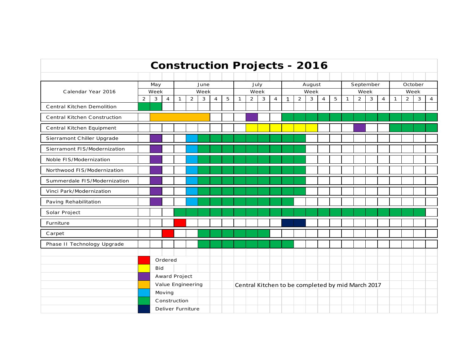| <b>Construction Projects - 2016</b> |                |                   |                |              |                |   |                |      |                                                   |                |              |                |              |              |              |                |   |              |                |      |                |              |                |   |                |
|-------------------------------------|----------------|-------------------|----------------|--------------|----------------|---|----------------|------|---------------------------------------------------|----------------|--------------|----------------|--------------|--------------|--------------|----------------|---|--------------|----------------|------|----------------|--------------|----------------|---|----------------|
|                                     |                |                   |                |              |                |   |                |      |                                                   |                |              |                |              |              |              |                |   |              |                |      |                |              |                |   |                |
| Calendar Year 2016                  | May            |                   |                | June         |                |   |                |      | July                                              |                |              |                | August       |              |              |                |   | September    |                |      |                | October      |                |   |                |
|                                     | Week           |                   |                | Week         |                |   |                | Week |                                                   |                | Week         |                |              |              |              | Week           |   |              |                | Week |                |              |                |   |                |
| <b>Central Kitchen Demolition</b>   | $\overline{2}$ | $\mathbf{3}$      | $\overline{4}$ | $\mathbf{1}$ | $\overline{2}$ | 3 | $\overline{4}$ | 5    | $\mathbf{1}$                                      | $\overline{2}$ | $\mathbf{3}$ | $\overline{4}$ | $\mathbf{1}$ | $\mathbf{2}$ | $\mathbf{3}$ | $\overline{4}$ | 5 | $\mathbf{1}$ | $\overline{2}$ | 3    | $\overline{4}$ | $\mathbf{1}$ | $\overline{2}$ | 3 | $\overline{4}$ |
| Central Kitchen Construction        |                |                   |                |              |                |   |                |      |                                                   |                |              |                |              |              |              |                |   |              |                |      |                |              |                |   |                |
| Central Kitchen Equipment           |                |                   |                |              |                |   |                |      |                                                   |                |              |                |              |              |              |                |   |              |                |      |                |              |                |   |                |
| Sierramont Chiller Upgrade          |                |                   |                |              |                |   |                |      |                                                   |                |              |                |              |              |              |                |   |              |                |      |                |              |                |   |                |
| Sierramont FIS/Modernization        |                |                   |                |              |                |   |                |      |                                                   |                |              |                |              |              |              |                |   |              |                |      |                |              |                |   |                |
| Noble FIS/Modernization             |                |                   |                |              |                |   |                |      |                                                   |                |              |                |              |              |              |                |   |              |                |      |                |              |                |   |                |
| Northwood FIS/Modernization         |                |                   |                |              |                |   |                |      |                                                   |                |              |                |              |              |              |                |   |              |                |      |                |              |                |   |                |
| Summerdale FIS/Modernization        |                |                   |                |              |                |   |                |      |                                                   |                |              |                |              |              |              |                |   |              |                |      |                |              |                |   |                |
| Vinci Park/Modernization            |                |                   |                |              |                |   |                |      |                                                   |                |              |                |              |              |              |                |   |              |                |      |                |              |                |   |                |
| Paving Rehabilitation               |                |                   |                |              |                |   |                |      |                                                   |                |              |                |              |              |              |                |   |              |                |      |                |              |                |   |                |
| Solar Project                       |                |                   |                |              |                |   |                |      |                                                   |                |              |                |              |              |              |                |   |              |                |      |                |              |                |   |                |
| Furniture                           |                |                   |                |              |                |   |                |      |                                                   |                |              |                |              |              |              |                |   |              |                |      |                |              |                |   |                |
| Carpet                              |                |                   |                |              |                |   |                |      |                                                   |                |              |                |              |              |              |                |   |              |                |      |                |              |                |   |                |
| Phase II Technology Upgrade         |                |                   |                |              |                |   |                |      |                                                   |                |              |                |              |              |              |                |   |              |                |      |                |              |                |   |                |
|                                     |                |                   |                |              |                |   |                |      |                                                   |                |              |                |              |              |              |                |   |              |                |      |                |              |                |   |                |
|                                     |                | <b>Bid</b>        | Ordered        |              |                |   |                |      |                                                   |                |              |                |              |              |              |                |   |              |                |      |                |              |                |   |                |
|                                     |                | Award Project     |                |              |                |   |                |      |                                                   |                |              |                |              |              |              |                |   |              |                |      |                |              |                |   |                |
|                                     |                | Value Engineering |                |              |                |   |                |      | Central Kitchen to be completed by mid March 2017 |                |              |                |              |              |              |                |   |              |                |      |                |              |                |   |                |
|                                     |                |                   | Moving         |              |                |   |                |      |                                                   |                |              |                |              |              |              |                |   |              |                |      |                |              |                |   |                |
|                                     |                |                   |                | Construction |                |   |                |      |                                                   |                |              |                |              |              |              |                |   |              |                |      |                |              |                |   |                |
|                                     |                | Deliver Furniture |                |              |                |   |                |      |                                                   |                |              |                |              |              |              |                |   |              |                |      |                |              |                |   |                |